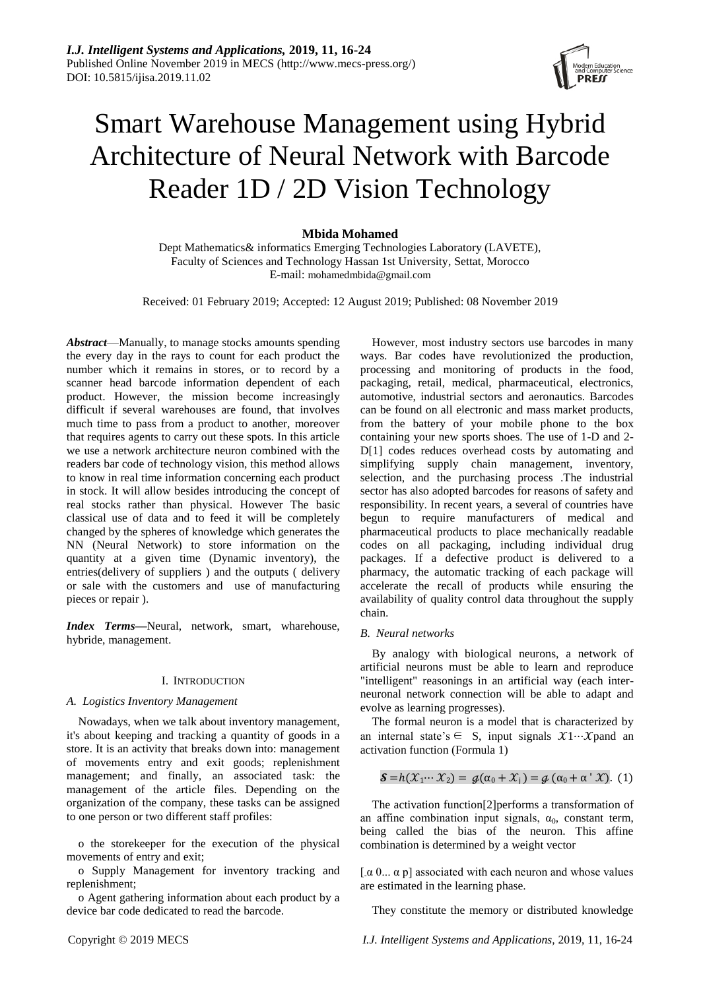# Smart Warehouse Management using Hybrid Architecture of Neural Network with Barcode Reader 1D / 2D Vision Technology

# **Mbida Mohamed**

Dept Mathematics& informatics Emerging Technologies Laboratory (LAVETE), Faculty of Sciences and Technology Hassan 1st University, Settat, Morocco E-mail: mohamedmbida@gmail.com

Received: 01 February 2019; Accepted: 12 August 2019; Published: 08 November 2019

*Abstract*—Manually, to manage stocks amounts spending the every day in the rays to count for each product the number which it remains in stores, or to record by a scanner head barcode information dependent of each product. However, the mission become increasingly difficult if several warehouses are found, that involves much time to pass from a product to another, moreover that requires agents to carry out these spots. In this article we use a network architecture neuron combined with the readers bar code of technology vision, this method allows to know in real time information concerning each product in stock. It will allow besides introducing the concept of real stocks rather than physical. However The basic classical use of data and to feed it will be completely changed by the spheres of knowledge which generates the NN (Neural Network) to store information on the quantity at a given time (Dynamic inventory), the entries(delivery of suppliers ) and the outputs ( delivery or sale with the customers and use of manufacturing pieces or repair ).

*Index Terms***—**Neural, network, smart, wharehouse, hybride, management.

# I. INTRODUCTION

# *A. Logistics Inventory Management*

Nowadays, when we talk about inventory management, it's about keeping and tracking a quantity of goods in a store. It is an activity that breaks down into: management of movements entry and exit goods; replenishment management; and finally, an associated task: the management of the article files. Depending on the organization of the company, these tasks can be assigned to one person or two different staff profiles:

o the storekeeper for the execution of the physical movements of entry and exit;

o Supply Management for inventory tracking and replenishment;

o Agent gathering information about each product by a device bar code dedicated to read the barcode.

However, most industry sectors use barcodes in many ways. Bar codes have revolutionized the production, processing and monitoring of products in the food, packaging, retail, medical, pharmaceutical, electronics, automotive, industrial sectors and aeronautics. Barcodes can be found on all electronic and mass market products, from the battery of your mobile phone to the box containing your new sports shoes. The use of 1-D and 2- D[1] codes reduces overhead costs by automating and simplifying supply chain management, inventory, selection, and the purchasing process .The industrial sector has also adopted barcodes for reasons of safety and responsibility. In recent years, a several of countries have begun to require manufacturers of medical and pharmaceutical products to place mechanically readable codes on all packaging, including individual drug packages. If a defective product is delivered to a pharmacy, the automatic tracking of each package will accelerate the recall of products while ensuring the availability of quality control data throughout the supply chain.

# *B. Neural networks*

By analogy with biological neurons, a network of artificial neurons must be able to learn and reproduce "intelligent" reasonings in an artificial way (each interneuronal network connection will be able to adapt and evolve as learning progresses).

The formal neuron is a model that is characterized by an internal state's  $\in$  S, input signals  $\mathcal{X}$ 1… $\mathcal{X}$ pand an activation function (Formula 1)

$$
\mathcal{S} = h(\mathcal{X}_1 \cdots \mathcal{X}_2) = g(\alpha_0 + \mathcal{X}_1) = g(\alpha_0 + \alpha' \mathcal{X}). \tag{1}
$$

The activation function[2]performs a transformation of an affine combination input signals,  $\alpha_0$ , constant term, being called the bias of the neuron. This affine combination is determined by a weight vector

[ $\alpha$  0...  $\alpha$  p] associated with each neuron and whose values are estimated in the learning phase.

They constitute the memory or distributed knowledge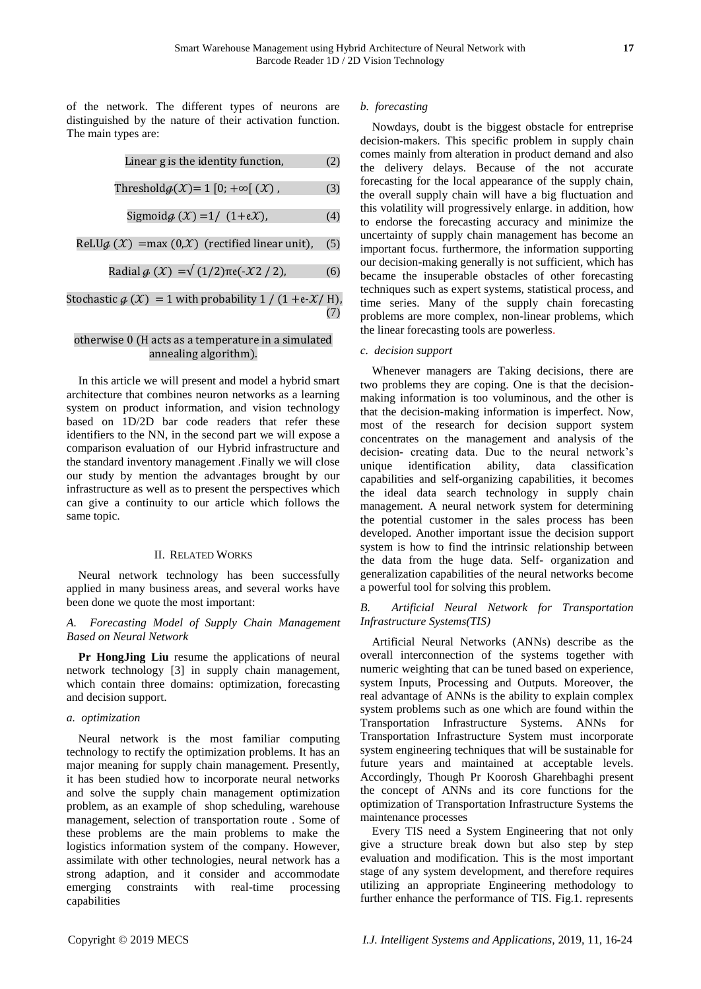of the network. The different types of neurons are distinguished by the nature of their activation function. The main types are:

Linear 
$$
g
$$
 is the identity function, (2)

$$
Thresholdg(\mathcal{X}) = 1 [0; +\infty[ (\mathcal{X}), \quad (3)
$$

$$
Sigmoid \mathcal{G}(\mathcal{X}) = 1 / (1 + e \mathcal{X}), \tag{4}
$$

$$
ReLUg(X) = max(0, X) (rectified linear unit), (5)
$$

$$
Radial \, \mathcal{G} \left( \mathcal{X} \right) = \sqrt{(1/2)} \pi e \left( -\mathcal{X} \, 2 / 2 \right), \tag{6}
$$

# Stochastic  $g(\mathcal{X}) = 1$  with probability  $1 / (1 + e \mathcal{X}/H)$ , (7)

# otherwise 0 (H acts as a temperature in a simulated annealing algorithm).

In this article we will present and model a hybrid smart architecture that combines neuron networks as a learning system on product information, and vision technology based on 1D/2D bar code readers that refer these identifiers to the NN, in the second part we will expose a comparison evaluation of our Hybrid infrastructure and the standard inventory management .Finally we will close our study by mention the advantages brought by our infrastructure as well as to present the perspectives which can give a continuity to our article which follows the same topic.

# II. RELATED WORKS

Neural network technology has been successfully applied in many business areas, and several works have been done we quote the most important:

# *A. Forecasting Model of Supply Chain Management Based on Neural Network*

**Pr HongJing Liu** resume the applications of neural network technology [3] in supply chain management, which contain three domains: optimization, forecasting and decision support.

# *a. optimization*

Neural network is the most familiar computing technology to rectify the optimization problems. It has an major meaning for supply chain management. Presently, it has been studied how to incorporate neural networks and solve the supply chain management optimization problem, as an example of shop scheduling, warehouse management, selection of transportation route . Some of these problems are the main problems to make the logistics information system of the company. However, assimilate with other technologies, neural network has a strong adaption, and it consider and accommodate emerging constraints with real-time processing capabilities

# *b. forecasting*

Nowdays, doubt is the biggest obstacle for entreprise decision-makers. This specific problem in supply chain comes mainly from alteration in product demand and also the delivery delays. Because of the not accurate forecasting for the local appearance of the supply chain, the overall supply chain will have a big fluctuation and this volatility will progressively enlarge. in addition, how to endorse the forecasting accuracy and minimize the uncertainty of supply chain management has become an important focus. furthermore, the information supporting our decision-making generally is not sufficient, which has became the insuperable obstacles of other forecasting techniques such as expert systems, statistical process, and time series. Many of the supply chain forecasting problems are more complex, non-linear problems, which the linear forecasting tools are powerless.

# *c. decision support*

Whenever managers are Taking decisions, there are two problems they are coping. One is that the decisionmaking information is too voluminous, and the other is that the decision-making information is imperfect. Now, most of the research for decision support system concentrates on the management and analysis of the decision- creating data. Due to the neural network's unique identification ability, data classification capabilities and self-organizing capabilities, it becomes the ideal data search technology in supply chain management. A neural network system for determining the potential customer in the sales process has been developed. Another important issue the decision support system is how to find the intrinsic relationship between the data from the huge data. Self- organization and generalization capabilities of the neural networks become a powerful tool for solving this problem.

# *B. Artificial Neural Network for Transportation Infrastructure Systems(TIS)*

Artificial Neural Networks (ANNs) describe as the overall interconnection of the systems together with numeric weighting that can be tuned based on experience, system Inputs, Processing and Outputs. Moreover, the real advantage of ANNs is the ability to explain complex system problems such as one which are found within the Transportation Infrastructure Systems. ANNs for Transportation Infrastructure System must incorporate system engineering techniques that will be sustainable for future years and maintained at acceptable levels. Accordingly, Though Pr Koorosh Gharehbaghi present the concept of ANNs and its core functions for the optimization of Transportation Infrastructure Systems the maintenance processes

Every TIS need a System Engineering that not only give a structure break down but also step by step evaluation and modification. This is the most important stage of any system development, and therefore requires utilizing an appropriate Engineering methodology to further enhance the performance of TIS. Fig.1. represents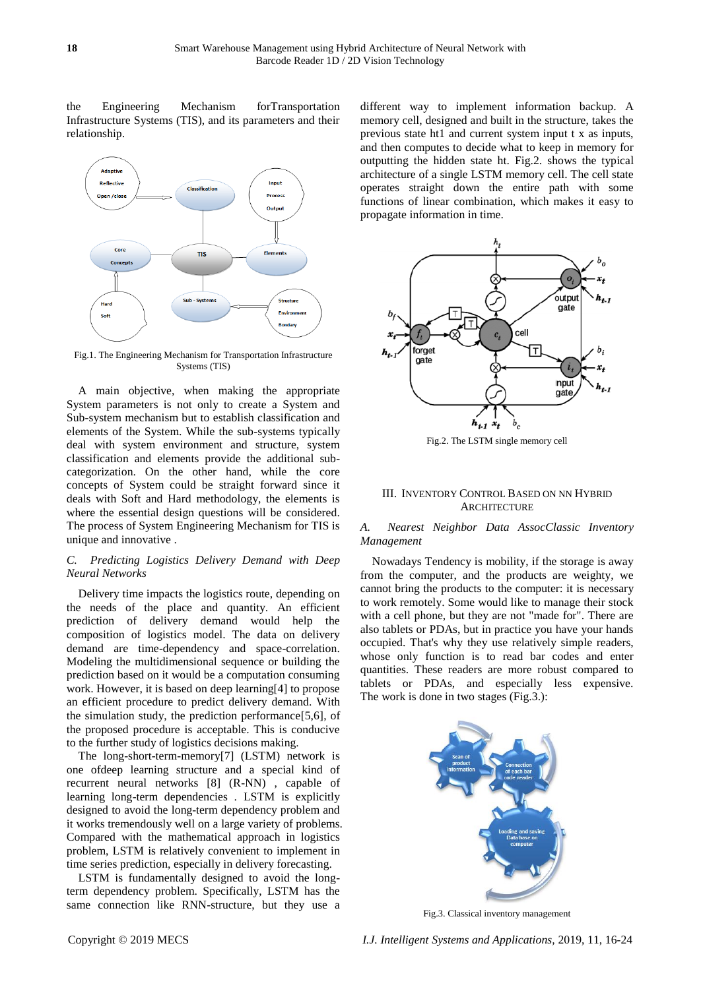the Engineering Mechanism forTransportation Infrastructure Systems (TIS), and its parameters and their relationship.



Fig.1. The Engineering Mechanism for Transportation Infrastructure Systems (TIS)

A main objective, when making the appropriate System parameters is not only to create a System and Sub-system mechanism but to establish classification and elements of the System. While the sub-systems typically deal with system environment and structure, system classification and elements provide the additional subcategorization. On the other hand, while the core concepts of System could be straight forward since it deals with Soft and Hard methodology, the elements is where the essential design questions will be considered. The process of System Engineering Mechanism for TIS is unique and innovative .

# *C. Predicting Logistics Delivery Demand with Deep Neural Networks*

Delivery time impacts the logistics route, depending on the needs of the place and quantity. An efficient prediction of delivery demand would help the composition of logistics model. The data on delivery demand are time-dependency and space-correlation. Modeling the multidimensional sequence or building the prediction based on it would be a computation consuming work. However, it is based on deep learning[4] to propose an efficient procedure to predict delivery demand. With the simulation study, the prediction performance[5,6], of the proposed procedure is acceptable. This is conducive to the further study of logistics decisions making.

The long-short-term-memory[7] (LSTM) network is one ofdeep learning structure and a special kind of recurrent neural networks [8] (R-NN) , capable of learning long-term dependencies . LSTM is explicitly designed to avoid the long-term dependency problem and it works tremendously well on a large variety of problems. Compared with the mathematical approach in logistics problem, LSTM is relatively convenient to implement in time series prediction, especially in delivery forecasting.

LSTM is fundamentally designed to avoid the longterm dependency problem. Specifically, LSTM has the same connection like RNN-structure, but they use a different way to implement information backup. A memory cell, designed and built in the structure, takes the previous state ht1 and current system input t x as inputs, and then computes to decide what to keep in memory for outputting the hidden state ht. Fig.2. shows the typical architecture of a single LSTM memory cell. The cell state operates straight down the entire path with some functions of linear combination, which makes it easy to propagate information in time.



Fig.2. The LSTM single memory cell

#### III. INVENTORY CONTROL BASED ON NN HYBRID **ARCHITECTURE**

# *A. Nearest Neighbor Data AssocClassic Inventory Management*

Nowadays Tendency is mobility, if the storage is away from the computer, and the products are weighty, we cannot bring the products to the computer: it is necessary to work remotely. Some would like to manage their stock with a cell phone, but they are not "made for". There are also tablets or PDAs, but in practice you have your hands occupied. That's why they use relatively simple readers, whose only function is to read bar codes and enter quantities. These readers are more robust compared to tablets or PDAs, and especially less expensive. The work is done in two stages (Fig.3.):



Fig.3. Classical inventory management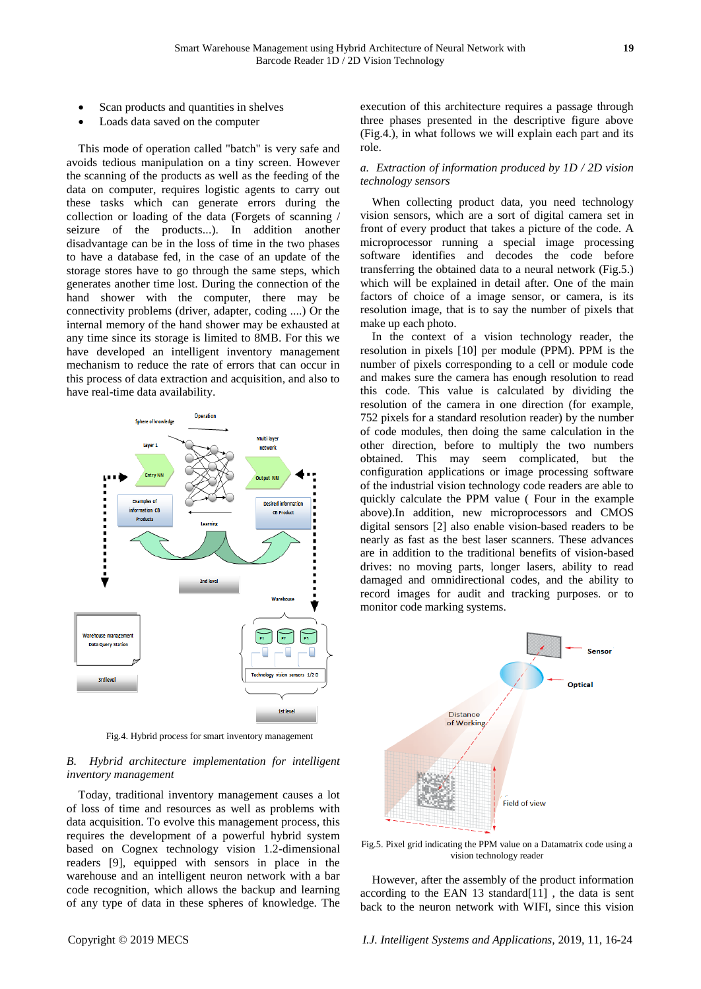- Scan products and quantities in shelves
- Loads data saved on the computer

This mode of operation called "batch" is very safe and avoids tedious manipulation on a tiny screen. However the scanning of the products as well as the feeding of the data on computer, requires logistic agents to carry out these tasks which can generate errors during the collection or loading of the data (Forgets of scanning / seizure of the products...). In addition another disadvantage can be in the loss of time in the two phases to have a database fed, in the case of an update of the storage stores have to go through the same steps, which generates another time lost. During the connection of the hand shower with the computer, there may be connectivity problems (driver, adapter, coding ....) Or the internal memory of the hand shower may be exhausted at any time since its storage is limited to 8MB. For this we have developed an intelligent inventory management mechanism to reduce the rate of errors that can occur in this process of data extraction and acquisition, and also to have real-time data availability.



Fig.4. Hybrid process for smart inventory management

# *B. Hybrid architecture implementation for intelligent inventory management*

Today, traditional inventory management causes a lot of loss of time and resources as well as problems with data acquisition. To evolve this management process, this requires the development of a powerful hybrid system based on Cognex technology vision 1.2-dimensional readers [9], equipped with sensors in place in the warehouse and an intelligent neuron network with a bar code recognition, which allows the backup and learning of any type of data in these spheres of knowledge. The

execution of this architecture requires a passage through three phases presented in the descriptive figure above (Fig.4.), in what follows we will explain each part and its role.

# *a. Extraction of information produced by 1D / 2D vision technology sensors*

When collecting product data, you need technology vision sensors, which are a sort of digital camera set in front of every product that takes a picture of the code. A microprocessor running a special image processing software identifies and decodes the code before transferring the obtained data to a neural network (Fig.5.) which will be explained in detail after. One of the main factors of choice of a image sensor, or camera, is its resolution image, that is to say the number of pixels that make up each photo.

In the context of a vision technology reader, the resolution in pixels [10] per module (PPM). PPM is the number of pixels corresponding to a cell or module code and makes sure the camera has enough resolution to read this code. This value is calculated by dividing the resolution of the camera in one direction (for example, 752 pixels for a standard resolution reader) by the number of code modules, then doing the same calculation in the other direction, before to multiply the two numbers obtained. This may seem complicated, but the configuration applications or image processing software of the industrial vision technology code readers are able to quickly calculate the PPM value ( Four in the example above).In addition, new microprocessors and CMOS digital sensors [2] also enable vision-based readers to be nearly as fast as the best laser scanners. These advances are in addition to the traditional benefits of vision-based drives: no moving parts, longer lasers, ability to read damaged and omnidirectional codes, and the ability to record images for audit and tracking purposes. or to monitor code marking systems.



Fig.5. Pixel grid indicating the PPM value on a Datamatrix code using a vision technology reader

However, after the assembly of the product information according to the EAN 13 standard $[11]$ , the data is sent back to the neuron network with WIFI, since this vision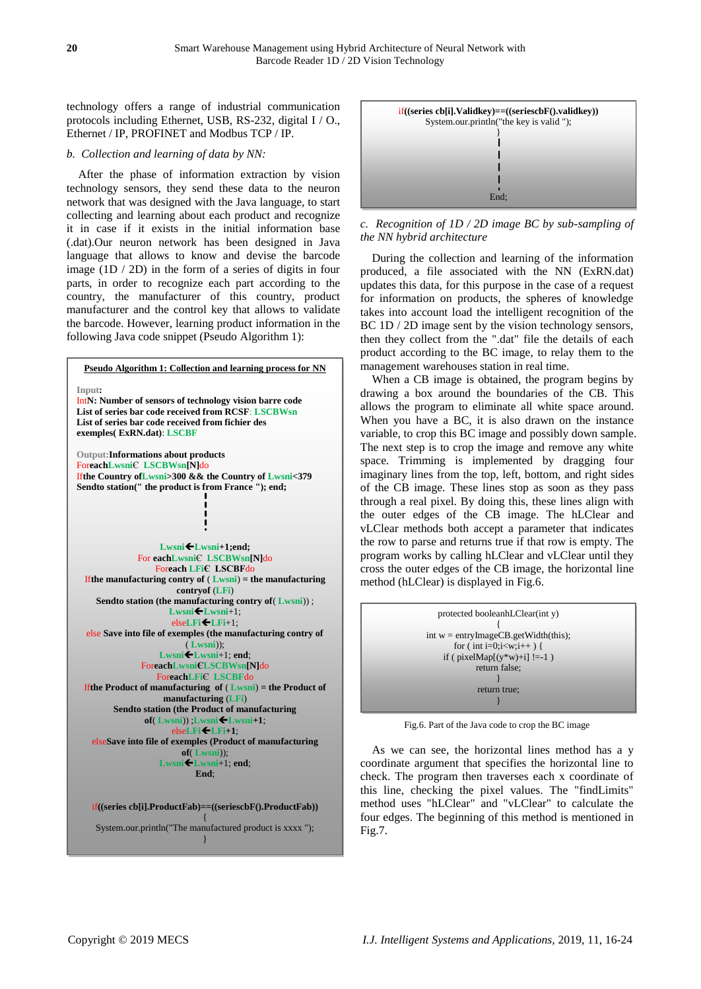technology offers a range of industrial communication protocols including Ethernet, USB, RS-232, digital I / O., Ethernet / IP, PROFINET and Modbus TCP / IP.

# *b. Collection and learning of data by NN:*

After the phase of information extraction by vision technology sensors, they send these data to the neuron network that was designed with the Java language, to start collecting and learning about each product and recognize it in case if it exists in the initial information base (.dat).Our neuron network has been designed in Java language that allows to know and devise the barcode image (1D / 2D) in the form of a series of digits in four parts, in order to recognize each part according to the country, the manufacturer of this country, product manufacturer and the control key that allows to validate the barcode. However, learning product information in the following Java code snippet (Pseudo Algorithm 1):





*c. Recognition of 1D / 2D image BC by sub-sampling of the NN hybrid architecture*

During the collection and learning of the information produced, a file associated with the NN (ExRN.dat) updates this data, for this purpose in the case of a request for information on products, the spheres of knowledge takes into account load the intelligent recognition of the BC 1D / 2D image sent by the vision technology sensors, then they collect from the ".dat" file the details of each product according to the BC image, to relay them to the management warehouses station in real time.

When a CB image is obtained, the program begins by drawing a box around the boundaries of the CB. This allows the program to eliminate all white space around. When you have a BC, it is also drawn on the instance variable, to crop this BC image and possibly down sample. The next step is to crop the image and remove any white space. Trimming is implemented by dragging four imaginary lines from the top, left, bottom, and right sides of the CB image. These lines stop as soon as they pass through a real pixel. By doing this, these lines align with the outer edges of the CB image. The hLClear and vLClear methods both accept a parameter that indicates the row to parse and returns true if that row is empty. The program works by calling hLClear and vLClear until they cross the outer edges of the CB image, the horizontal line method (hLClear) is displayed in Fig.6.



Fig.6. Part of the Java code to crop the BC image

As we can see, the horizontal lines method has a y coordinate argument that specifies the horizontal line to check. The program then traverses each x coordinate of this line, checking the pixel values. The "findLimits" method uses "hLClear" and "vLClear" to calculate the four edges. The beginning of this method is mentioned in Fig.7.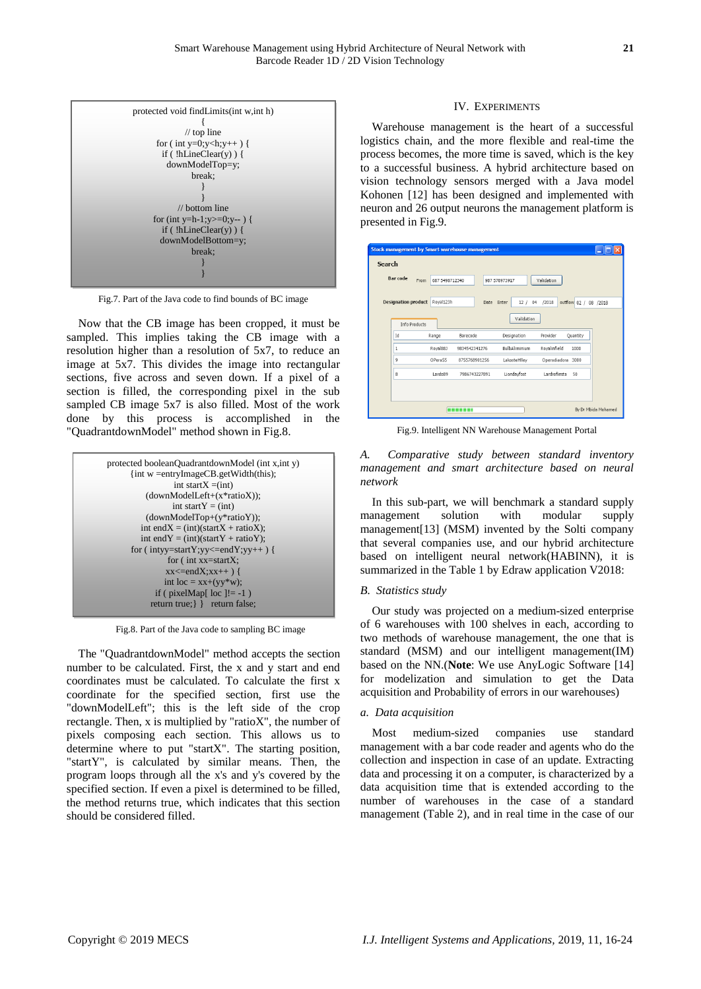

Fig.7. Part of the Java code to find bounds of BC image

Now that the CB image has been cropped, it must be sampled. This implies taking the CB image with a resolution higher than a resolution of 5x7, to reduce an image at 5x7. This divides the image into rectangular sections, five across and seven down. If a pixel of a section is filled, the corresponding pixel in the sub sampled CB image 5x7 is also filled. Most of the work done by this process is accomplished in the "QuadrantdownModel" method shown in Fig.8.

| protected booleanQuadrantdownModel (int x, int y) |
|---------------------------------------------------|
| {int w = entryImageCB.getWidth(this);             |
| int start $X = (int)$                             |
| $(downModelLeft+(x*ratioX));$                     |
| int start $Y = (int)$                             |
| $(downModelTop+(y*ratioY));$                      |
| int end $X = (int)(startX + ratioX)$ ;            |
| int end $Y = (int)(startY + ratioY)$ ;            |
| for (intyy=startY;yy <= endY;yy + + ) {           |
| for $\epsilon$ int xx=startX:                     |
| $xx \le = endX$ ; $xx++$ ) {                      |
| int loc = $xx+(yy*w)$ ;                           |
| if ( $pixelMap[$ loc $]= -1$ )                    |
| return true; } } return false;                    |

Fig.8. Part of the Java code to sampling BC image

The "QuadrantdownModel" method accepts the section number to be calculated. First, the x and y start and end coordinates must be calculated. To calculate the first x coordinate for the specified section, first use the "downModelLeft"; this is the left side of the crop rectangle. Then,  $x$  is multiplied by "ratioX", the number of pixels composing each section. This allows us to determine where to put "startX". The starting position, "startY", is calculated by similar means. Then, the program loops through all the x's and y's covered by the specified section. If even a pixel is determined to be filled, the method returns true, which indicates that this section should be considered filled.

## IV. EXPERIMENTS

Warehouse management is the heart of a successful logistics chain, and the more flexible and real-time the process becomes, the more time is saved, which is the key to a successful business. A hybrid architecture based on vision technology sensors merged with a Java model Kohonen [12] has been designed and implemented with neuron and 26 output neurons the management platform is presented in Fig.9.

|                                             | <b>Stock management by Smart warehouse management</b>                                   |  |  |  |  |  |
|---------------------------------------------|-----------------------------------------------------------------------------------------|--|--|--|--|--|
| Search                                      |                                                                                         |  |  |  |  |  |
| Bar code<br>From                            | 687 5498712340<br>Validation<br>987 578973917                                           |  |  |  |  |  |
| <b>Designation product</b><br>Info Products | Roval123h<br>outflow 02 / 08 /2018<br>Enter<br>12/<br>/2018<br>Date<br>04<br>Validation |  |  |  |  |  |
| Id                                          | Barecode<br>Provider<br>Designation<br>Range<br>Ouantity                                |  |  |  |  |  |
| $\mathbf{1}$                                | Roval88J<br>BulbAliminium<br>Rovalinfield<br>9834542341276<br>1000                      |  |  |  |  |  |
| 9                                           | OPera55<br>LakosteHlley<br>Operadiadora 3000<br>8755768901256                           |  |  |  |  |  |
| 8                                           | Lardo89<br>Liondayfost<br>Lardrofiesta<br>7986743227891<br>50                           |  |  |  |  |  |
|                                             |                                                                                         |  |  |  |  |  |
| By Dr Mbida Mohamed<br>-------              |                                                                                         |  |  |  |  |  |

Fig.9. Intelligent NN Warehouse Management Portal

*A. Comparative study between standard inventory management and smart architecture based on neural network*

In this sub-part, we will benchmark a standard supply management solution with modular supply management[13] (MSM) invented by the Solti company that several companies use, and our hybrid architecture based on intelligent neural network(HABINN), it is summarized in the Table 1 by Edraw application V2018:

# *B. Statistics study*

Our study was projected on a medium-sized enterprise of 6 warehouses with 100 shelves in each, according to two methods of warehouse management, the one that is standard (MSM) and our intelligent management(IM) based on the NN.(**Note**: We use AnyLogic Software [14] for modelization and simulation to get the Data acquisition and Probability of errors in our warehouses)

# *a. Data acquisition*

Most medium-sized companies use standard management with a bar code reader and agents who do the collection and inspection in case of an update. Extracting data and processing it on a computer, is characterized by a data acquisition time that is extended according to the number of warehouses in the case of a standard management (Table 2), and in real time in the case of our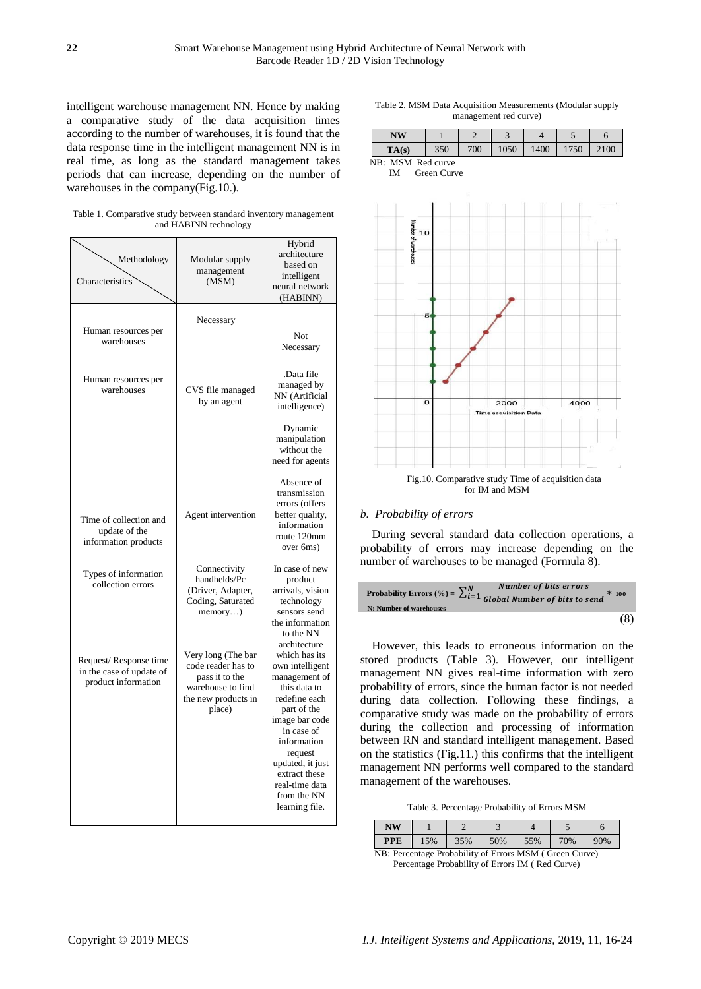intelligent warehouse management NN. Hence by making a comparative study of the data acquisition times according to the number of warehouses, it is found that the data response time in the intelligent management NN is in real time, as long as the standard management takes periods that can increase, depending on the number of warehouses in the company(Fig.10.).

Table 1. Comparative study between standard inventory management and HABINN technology

| Methodology<br>Characteristics                                           | Modular supply<br>management<br>(MSM)                                                                            | Hybrid<br>architecture<br>based on<br>intelligent<br>neural network<br>(HABINN)                                                                                                                                                                                     |
|--------------------------------------------------------------------------|------------------------------------------------------------------------------------------------------------------|---------------------------------------------------------------------------------------------------------------------------------------------------------------------------------------------------------------------------------------------------------------------|
| Human resources per<br>warehouses                                        | Necessary                                                                                                        | Not<br>Necessary                                                                                                                                                                                                                                                    |
| Human resources per<br>warehouses                                        | CVS file managed<br>by an agent                                                                                  | .Data file<br>managed by<br>NN (Artificial<br>intelligence)                                                                                                                                                                                                         |
|                                                                          |                                                                                                                  | Dynamic<br>manipulation<br>without the<br>need for agents                                                                                                                                                                                                           |
| Time of collection and<br>update of the<br>information products          | Agent intervention                                                                                               | Absence of<br>transmission<br>errors (offers<br>better quality,<br>information<br>route 120mm<br>over 6ms)                                                                                                                                                          |
| Types of information<br>collection errors                                | Connectivity<br>handhelds/Pc<br>(Driver, Adapter,<br>Coding, Saturated<br>$memory$ )                             | In case of new<br>product<br>arrivals, vision<br>technology<br>sensors send<br>the information<br>to the NN                                                                                                                                                         |
| Request/Response time<br>in the case of update of<br>product information | Very long (The bar<br>code reader has to<br>pass it to the<br>warehouse to find<br>the new products in<br>place) | architecture<br>which has its<br>own intelligent<br>management of<br>this data to<br>redefine each<br>part of the<br>image bar code<br>in case of<br>information<br>request<br>updated, it just<br>extract these<br>real-time data<br>from the NN<br>learning file. |

| Table 2. MSM Data Acquisition Measurements (Modular supply |
|------------------------------------------------------------|
| management red curve)                                      |

|                   | NW    |     |     | $\overline{\phantom{a}}$ |      |     |      |
|-------------------|-------|-----|-----|--------------------------|------|-----|------|
|                   | TA(s) | 350 | 700 | 1050                     | 1400 | 750 | 2100 |
| NB: MSM Red curve |       |     |     |                          |      |     |      |





# *b. Probability of errors*

During several standard data collection operations, a probability of errors may increase depending on the number of warehouses to be managed (Formula 8).

Probability Errors 
$$
(\%) = \sum_{i=1}^{N} \frac{Number of bits errors}{Global Number of bits to send} * 100
$$
  
N: Number of warehouse\n $(8)$ 

However, this leads to erroneous information on the stored products (Table 3). However, our intelligent management NN gives real-time information with zero probability of errors, since the human factor is not needed during data collection. Following these findings, a comparative study was made on the probability of errors during the collection and processing of information between RN and standard intelligent management. Based on the statistics (Fig.11.) this confirms that the intelligent management NN performs well compared to the standard management of the warehouses.

Table 3. Percentage Probability of Errors MSM

| PPE | 5% | 35% | 50% | 5% | 70% | 90% |
|-----|----|-----|-----|----|-----|-----|

NB: Percentage Probability of Errors MSM ( Green Curve) Percentage Probability of Errors IM ( Red Curve)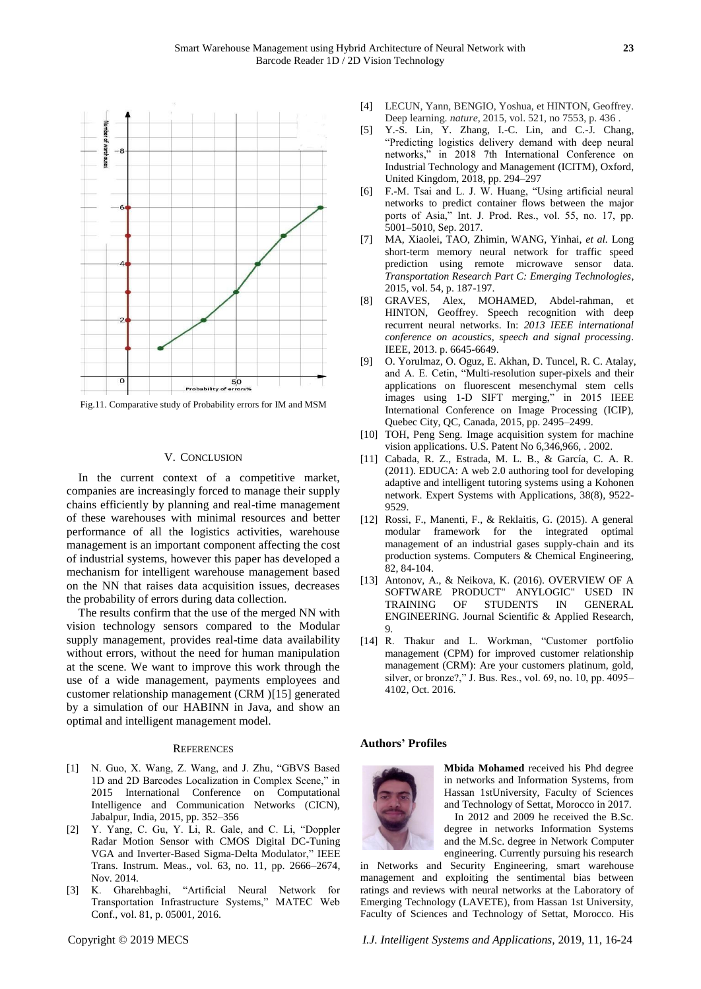

Fig.11. Comparative study of Probability errors for IM and MSM

## V. CONCLUSION

In the current context of a competitive market, companies are increasingly forced to manage their supply chains efficiently by planning and real-time management of these warehouses with minimal resources and better performance of all the logistics activities, warehouse management is an important component affecting the cost of industrial systems, however this paper has developed a mechanism for intelligent warehouse management based on the NN that raises data acquisition issues, decreases the probability of errors during data collection.

The results confirm that the use of the merged NN with vision technology sensors compared to the Modular supply management, provides real-time data availability without errors, without the need for human manipulation at the scene. We want to improve this work through the use of a wide management, payments employees and customer relationship management (CRM )[15] generated by a simulation of our HABINN in Java, and show an optimal and intelligent management model.

#### **REFERENCES**

- [1] N. Guo, X. Wang, Z. Wang, and J. Zhu, "GBVS Based 1D and 2D Barcodes Localization in Complex Scene," in 2015 International Conference on Computational Intelligence and Communication Networks (CICN), Jabalpur, India, 2015, pp. 352–356
- [2] Y. Yang, C. Gu, Y. Li, R. Gale, and C. Li, "Doppler Radar Motion Sensor with CMOS Digital DC-Tuning VGA and Inverter-Based Sigma-Delta Modulator," IEEE Trans. Instrum. Meas., vol. 63, no. 11, pp. 2666–2674, Nov. 2014.
- [3] K. Gharehbaghi, "Artificial Neural Network for Transportation Infrastructure Systems," MATEC Web Conf., vol. 81, p. 05001, 2016.
- [4] LECUN, Yann, BENGIO, Yoshua, et HINTON, Geoffrey. Deep learning. *nature*, 2015, vol. 521, no 7553, p. 436 .
- [5] Y.-S. Lin, Y. Zhang, I.-C. Lin, and C.-J. Chang, ―Predicting logistics delivery demand with deep neural networks," in 2018 7th International Conference on Industrial Technology and Management (ICITM), Oxford, United Kingdom, 2018, pp. 294–297
- [6] F.-M. Tsai and L. J. W. Huang, "Using artificial neural networks to predict container flows between the major ports of Asia," Int. J. Prod. Res., vol. 55, no. 17, pp. 5001–5010, Sep. 2017.
- [7] MA, Xiaolei, TAO, Zhimin, WANG, Yinhai, *et al.* Long short-term memory neural network for traffic speed prediction using remote microwave sensor data. *Transportation Research Part C: Emerging Technologies*, 2015, vol. 54, p. 187-197.
- [8] GRAVES, Alex, MOHAMED, Abdel-rahman, et HINTON, Geoffrey. Speech recognition with deep recurrent neural networks. In: *2013 IEEE international conference on acoustics, speech and signal processing*. IEEE, 2013. p. 6645-6649.
- [9] O. Yorulmaz, O. Oguz, E. Akhan, D. Tuncel, R. C. Atalay, and A. E. Cetin, "Multi-resolution super-pixels and their applications on fluorescent mesenchymal stem cells images using 1-D SIFT merging," in 2015 IEEE International Conference on Image Processing (ICIP), Quebec City, QC, Canada, 2015, pp. 2495–2499.
- [10] TOH, Peng Seng. Image acquisition system for machine vision applications. U.S. Patent No 6,346,966, . 2002.
- [11] Cabada, R. Z., Estrada, M. L. B., & García, C. A. R. (2011). EDUCA: A web 2.0 authoring tool for developing adaptive and intelligent tutoring systems using a Kohonen network. Expert Systems with Applications, 38(8), 9522- 9529.
- [12] Rossi, F., Manenti, F., & Reklaitis, G. (2015). A general modular framework for the integrated optimal management of an industrial gases supply-chain and its production systems. Computers & Chemical Engineering, 82, 84-104.
- [13] Antonov, A., & Neikova, K. (2016). OVERVIEW OF A SOFTWARE PRODUCT" ANYLOGIC" USED IN TRAINING OF STUDENTS IN GENERAL ENGINEERING. Journal Scientific & Applied Research, 9.
- [14] R. Thakur and L. Workman, "Customer portfolio management (CPM) for improved customer relationship management (CRM): Are your customers platinum, gold, silver, or bronze?," J. Bus. Res., vol. 69, no. 10, pp.  $4095-$ 4102, Oct. 2016.

#### **Authors' Profiles**



**Mbida Mohamed** received his Phd degree in networks and Information Systems, from Hassan 1stUniversity, Faculty of Sciences and Technology of Settat, Morocco in 2017. In 2012 and 2009 he received the B.Sc.

degree in networks Information Systems and the M.Sc. degree in Network Computer engineering. Currently pursuing his research

in Networks and Security Engineering, smart warehouse management and [exploiting the sentimental bias between](https://www.sciencedirect.com/science/article/pii/S0893608018303423)  [ratings and reviews with neural networks](https://www.sciencedirect.com/science/article/pii/S0893608018303423) at the Laboratory of Emerging Technology (LAVETE), from Hassan 1st University, Faculty of Sciences and Technology of Settat, Morocco. His